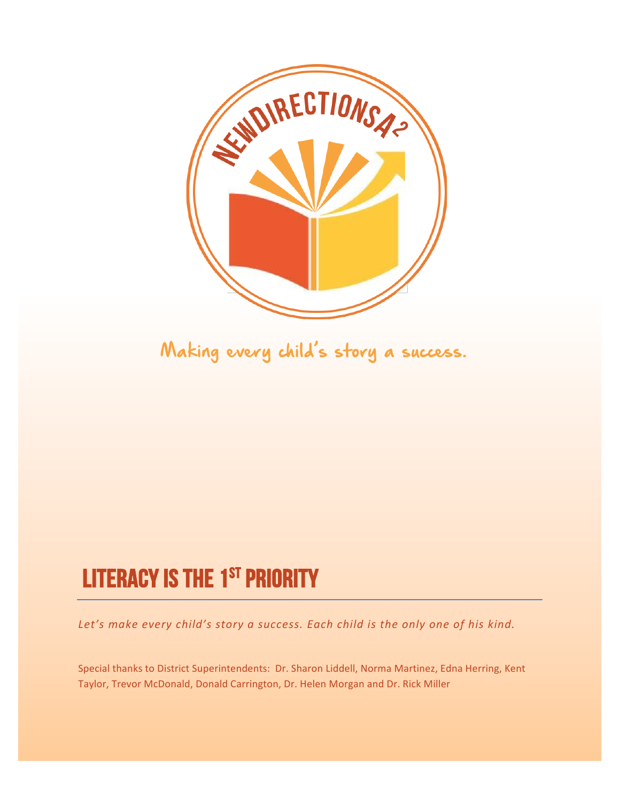

Making every child's story a success.

## LITERACY IS THE 1<sup>ST</sup> PRIORITY

Let's make every child's story a success. Each child is the only one of his kind.

Special thanks to District Superintendents: Dr. Sharon Liddell, Norma Martinez, Edna Herring, Kent Taylor, Trevor McDonald, Donald Carrington, Dr. Helen Morgan and Dr. Rick Miller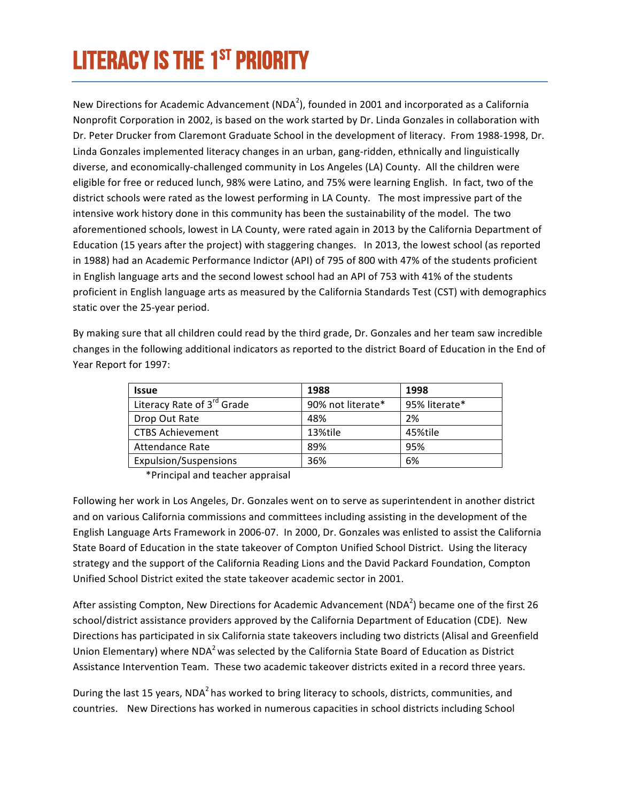# LITERACY IS THE 1<sup>ST</sup> PRIORITY

New Directions for Academic Advancement (NDA<sup>2</sup>), founded in 2001 and incorporated as a California Nonprofit Corporation in 2002, is based on the work started by Dr. Linda Gonzales in collaboration with Dr. Peter Drucker from Claremont Graduate School in the development of literacy. From 1988-1998, Dr. Linda Gonzales implemented literacy changes in an urban, gang-ridden, ethnically and linguistically diverse, and economically-challenged community in Los Angeles (LA) County. All the children were eligible for free or reduced lunch, 98% were Latino, and 75% were learning English. In fact, two of the district schools were rated as the lowest performing in LA County. The most impressive part of the intensive work history done in this community has been the sustainability of the model. The two aforementioned schools, lowest in LA County, were rated again in 2013 by the California Department of Education (15 years after the project) with staggering changes. In 2013, the lowest school (as reported in 1988) had an Academic Performance Indictor (API) of 795 of 800 with 47% of the students proficient in English language arts and the second lowest school had an API of 753 with 41% of the students proficient in English language arts as measured by the California Standards Test (CST) with demographics static over the 25-year period.

By making sure that all children could read by the third grade, Dr. Gonzales and her team saw incredible changes in the following additional indicators as reported to the district Board of Education in the End of Year Report for 1997:

| <b>Issue</b>                           | 1988              | 1998          |
|----------------------------------------|-------------------|---------------|
| Literacy Rate of 3 <sup>rd</sup> Grade | 90% not literate* | 95% literate* |
| Drop Out Rate                          | 48%               | 2%            |
| <b>CTBS Achievement</b>                | 13%tile           | 45%tile       |
| Attendance Rate                        | 89%               | 95%           |
| <b>Expulsion/Suspensions</b>           | 36%               | 6%            |

\*Principal and teacher appraisal 

Following her work in Los Angeles, Dr. Gonzales went on to serve as superintendent in another district and on various California commissions and committees including assisting in the development of the English Language Arts Framework in 2006-07. In 2000, Dr. Gonzales was enlisted to assist the California State Board of Education in the state takeover of Compton Unified School District. Using the literacy strategy and the support of the California Reading Lions and the David Packard Foundation, Compton Unified School District exited the state takeover academic sector in 2001.

After assisting Compton, New Directions for Academic Advancement (NDA<sup>2</sup>) became one of the first 26 school/district assistance providers approved by the California Department of Education (CDE). New Directions has participated in six California state takeovers including two districts (Alisal and Greenfield Union Elementary) where  $NDA<sup>2</sup>$  was selected by the California State Board of Education as District Assistance Intervention Team. These two academic takeover districts exited in a record three years.

During the last 15 years, NDA<sup>2</sup> has worked to bring literacy to schools, districts, communities, and countries. New Directions has worked in numerous capacities in school districts including School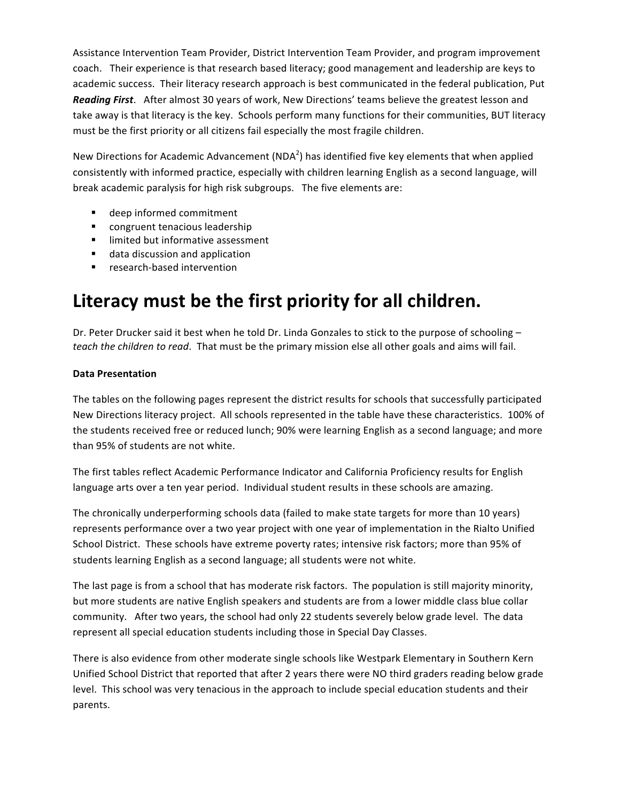Assistance Intervention Team Provider, District Intervention Team Provider, and program improvement coach. Their experience is that research based literacy; good management and leadership are keys to academic success. Their literacy research approach is best communicated in the federal publication, Put **Reading First**. After almost 30 years of work, New Directions' teams believe the greatest lesson and take away is that literacy is the key. Schools perform many functions for their communities, BUT literacy must be the first priority or all citizens fail especially the most fragile children.

New Directions for Academic Advancement (NDA<sup>2</sup>) has identified five key elements that when applied consistently with informed practice, especially with children learning English as a second language, will break academic paralysis for high risk subgroups. The five elements are:

- deep informed commitment
- congruent tenacious leadership
- **■** limited but informative assessment
- data discussion and application
- research-based intervention

#### Literacy must be the first priority for all children.

Dr. Peter Drucker said it best when he told Dr. Linda Gonzales to stick to the purpose of schooling *teach* the children to read. That must be the primary mission else all other goals and aims will fail.

#### **Data Presentation**

The tables on the following pages represent the district results for schools that successfully participated New Directions literacy project. All schools represented in the table have these characteristics. 100% of the students received free or reduced lunch; 90% were learning English as a second language; and more than 95% of students are not white.

The first tables reflect Academic Performance Indicator and California Proficiency results for English language arts over a ten year period. Individual student results in these schools are amazing.

The chronically underperforming schools data (failed to make state targets for more than 10 years) represents performance over a two year project with one year of implementation in the Rialto Unified School District. These schools have extreme poverty rates; intensive risk factors; more than 95% of students learning English as a second language; all students were not white.

The last page is from a school that has moderate risk factors. The population is still majority minority, but more students are native English speakers and students are from a lower middle class blue collar community. After two years, the school had only 22 students severely below grade level. The data represent all special education students including those in Special Day Classes.

There is also evidence from other moderate single schools like Westpark Elementary in Southern Kern Unified School District that reported that after 2 years there were NO third graders reading below grade level. This school was very tenacious in the approach to include special education students and their parents.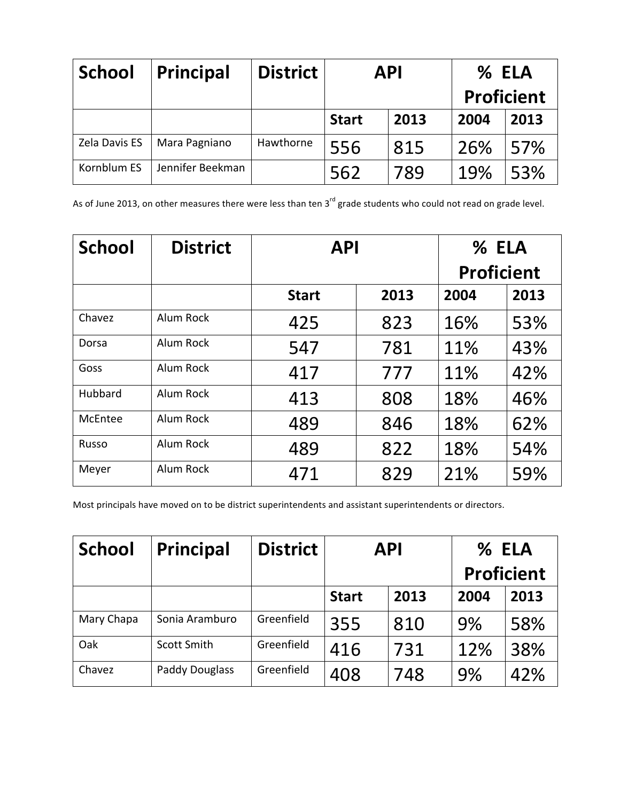| <b>School</b> | <b>Principal</b> | <b>District</b> | <b>API</b>   |      | % ELA<br><b>Proficient</b> |      |
|---------------|------------------|-----------------|--------------|------|----------------------------|------|
|               |                  |                 | <b>Start</b> | 2013 | 2004                       | 2013 |
| Zela Davis ES | Mara Pagniano    | Hawthorne       | 556          | 815  | 26%                        | 57%  |
| Kornblum ES   | Jennifer Beekman |                 | 562          | 789  | 19%                        | 53%  |

As of June 2013, on other measures there were less than ten  $3^{rd}$  grade students who could not read on grade level.

| <b>School</b> | <b>District</b>  | <b>API</b>   |      | % ELA             |      |  |
|---------------|------------------|--------------|------|-------------------|------|--|
|               |                  |              |      | <b>Proficient</b> |      |  |
|               |                  | <b>Start</b> | 2013 | 2004              | 2013 |  |
| Chavez        | <b>Alum Rock</b> | 425          | 823  | 16%               | 53%  |  |
| Dorsa         | Alum Rock        | 547          | 781  | 11%               | 43%  |  |
| Goss          | Alum Rock        | 417          | 777  | 11%               | 42%  |  |
| Hubbard       | Alum Rock        | 413          | 808  | 18%               | 46%  |  |
| McEntee       | <b>Alum Rock</b> | 489          | 846  | 18%               | 62%  |  |
| Russo         | <b>Alum Rock</b> | 489          | 822  | 18%               | 54%  |  |
| Meyer         | <b>Alum Rock</b> | 471          | 829  | 21%               | 59%  |  |

Most principals have moved on to be district superintendents and assistant superintendents or directors.

| <b>School</b> | <b>Principal</b>   | <b>District</b> | <b>API</b>   |      |      |      |  | % ELA<br><b>Proficient</b> |
|---------------|--------------------|-----------------|--------------|------|------|------|--|----------------------------|
|               |                    |                 | <b>Start</b> | 2013 | 2004 | 2013 |  |                            |
| Mary Chapa    | Sonia Aramburo     | Greenfield      | 355          | 810  | 9%   | 58%  |  |                            |
| Oak           | <b>Scott Smith</b> | Greenfield      | 416          | 731  | 12%  | 38%  |  |                            |
| Chavez        | Paddy Douglass     | Greenfield      | 408          | 748  | 9%   | 42%  |  |                            |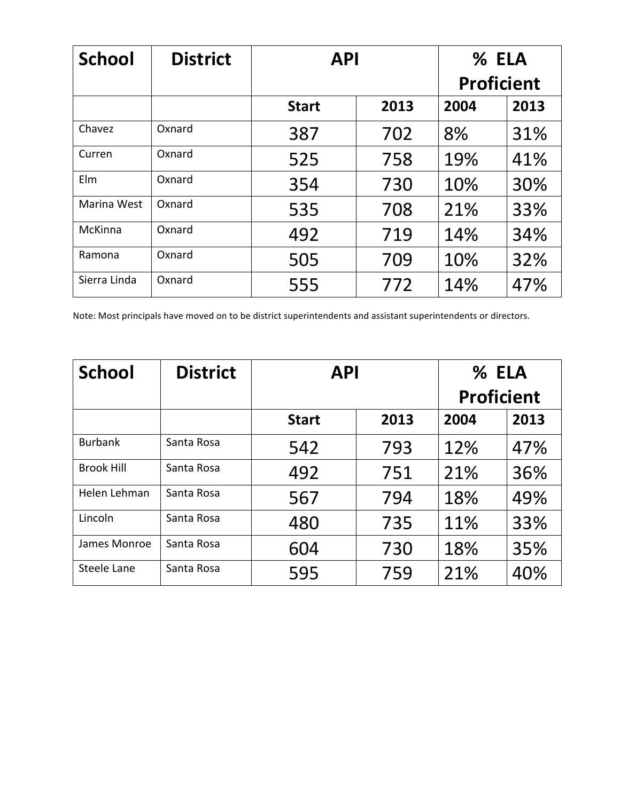| <b>School</b> | <b>District</b> | <b>API</b>   | % ELA             |      |      |
|---------------|-----------------|--------------|-------------------|------|------|
|               |                 |              | <b>Proficient</b> |      |      |
|               |                 | <b>Start</b> | 2013              | 2004 | 2013 |
| Chavez        | Oxnard          | 387          | 702               | 8%   | 31%  |
| Curren        | Oxnard          | 525          | 758               | 19%  | 41%  |
| Elm           | Oxnard          | 354          | 730               | 10%  | 30%  |
| Marina West   | Oxnard          | 535          | 708               | 21%  | 33%  |
| McKinna       | Oxnard          | 492          | 719               | 14%  | 34%  |
| Ramona        | Oxnard          | 505          | 709               | 10%  | 32%  |
| Sierra Linda  | Oxnard          | 555          | 772               | 14%  | 47%  |

Note: Most principals have moved on to be district superintendents and assistant superintendents or directors.

| <b>School</b>     | <b>District</b> | <b>API</b>   | % ELA |      |      |
|-------------------|-----------------|--------------|-------|------|------|
|                   |                 |              |       |      |      |
|                   |                 | <b>Start</b> | 2013  | 2004 | 2013 |
| <b>Burbank</b>    | Santa Rosa      | 542          | 793   | 12%  | 47%  |
| <b>Brook Hill</b> | Santa Rosa      | 492          | 751   | 21%  | 36%  |
| Helen Lehman      | Santa Rosa      | 567          | 794   | 18%  | 49%  |
| Lincoln           | Santa Rosa      | 480          | 735   | 11%  | 33%  |
| James Monroe      | Santa Rosa      | 604          | 730   | 18%  | 35%  |
| Steele Lane       | Santa Rosa      | 595          | 759   | 21%  | 40%  |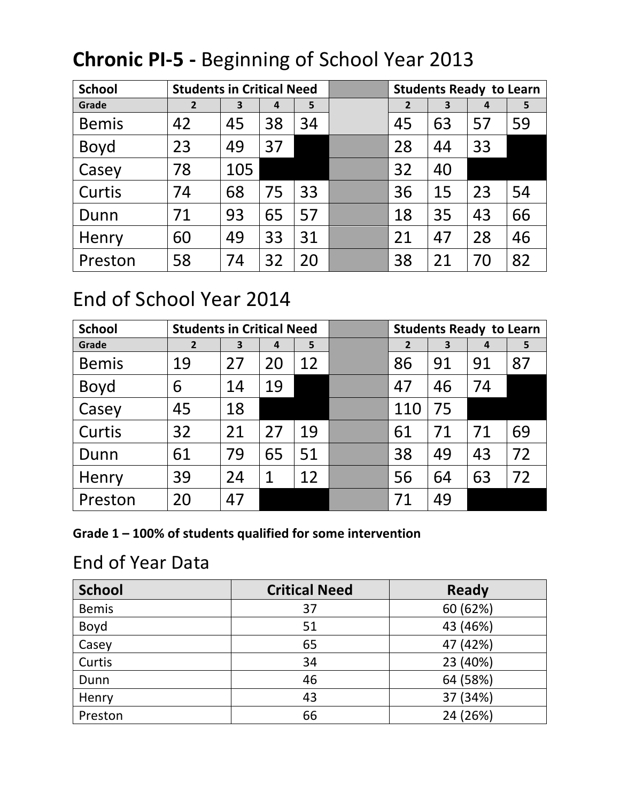| <b>School</b> | <b>Students in Critical Need</b> |     |    |    | <b>Students Ready to Learn</b> |    |    |    |
|---------------|----------------------------------|-----|----|----|--------------------------------|----|----|----|
| Grade         | $\overline{2}$                   | 3   | 4  | 5  | $\overline{2}$                 | 3  | 4  | 5  |
| <b>Bemis</b>  | 42                               | 45  | 38 | 34 | 45                             | 63 | 57 | 59 |
| <b>Boyd</b>   | 23                               | 49  | 37 |    | 28                             | 44 | 33 |    |
| Casey         | 78                               | 105 |    |    | 32                             | 40 |    |    |
| Curtis        | 74                               | 68  | 75 | 33 | 36                             | 15 | 23 | 54 |
| Dunn          | 71                               | 93  | 65 | 57 | 18                             | 35 | 43 | 66 |
| Henry         | 60                               | 49  | 33 | 31 | 21                             | 47 | 28 | 46 |
| Preston       | 58                               | 74  | 32 | 20 | 38                             | 21 | 70 | 82 |

### **Chronic PI-5 - Beginning of School Year 2013**

#### End of School Year 2014

| <b>School</b> | <b>Students in Critical Need</b> |    |    |    | <b>Students Ready to Learn</b> |    |    |    |
|---------------|----------------------------------|----|----|----|--------------------------------|----|----|----|
| Grade         | $\overline{2}$                   | 3  | 4  | 5  | $\overline{2}$                 | 3  | 4  | 5  |
| <b>Bemis</b>  | 19                               | 27 | 20 | 12 | 86                             | 91 | 91 | 87 |
| <b>Boyd</b>   | 6                                | 14 | 19 |    | 47                             | 46 | 74 |    |
| Casey         | 45                               | 18 |    |    | 110                            | 75 |    |    |
| Curtis        | 32                               | 21 | 27 | 19 | 61                             | 71 | 71 | 69 |
| Dunn          | 61                               | 79 | 65 | 51 | 38                             | 49 | 43 | 72 |
| Henry         | 39                               | 24 | 1  | 12 | 56                             | 64 | 63 | 72 |
| Preston       | 20                               | 47 |    |    | 71                             | 49 |    |    |

Grade 1 - 100% of students qualified for some intervention

#### End of Year Data

| <b>School</b> | <b>Critical Need</b> | <b>Ready</b> |
|---------------|----------------------|--------------|
| <b>Bemis</b>  | 37                   | 60 (62%)     |
| Boyd          | 51                   | 43 (46%)     |
| Casey         | 65                   | 47 (42%)     |
| Curtis        | 34                   | 23 (40%)     |
| Dunn          | 46                   | 64 (58%)     |
| Henry         | 43                   | 37 (34%)     |
| Preston       | 66                   | 24 (26%)     |